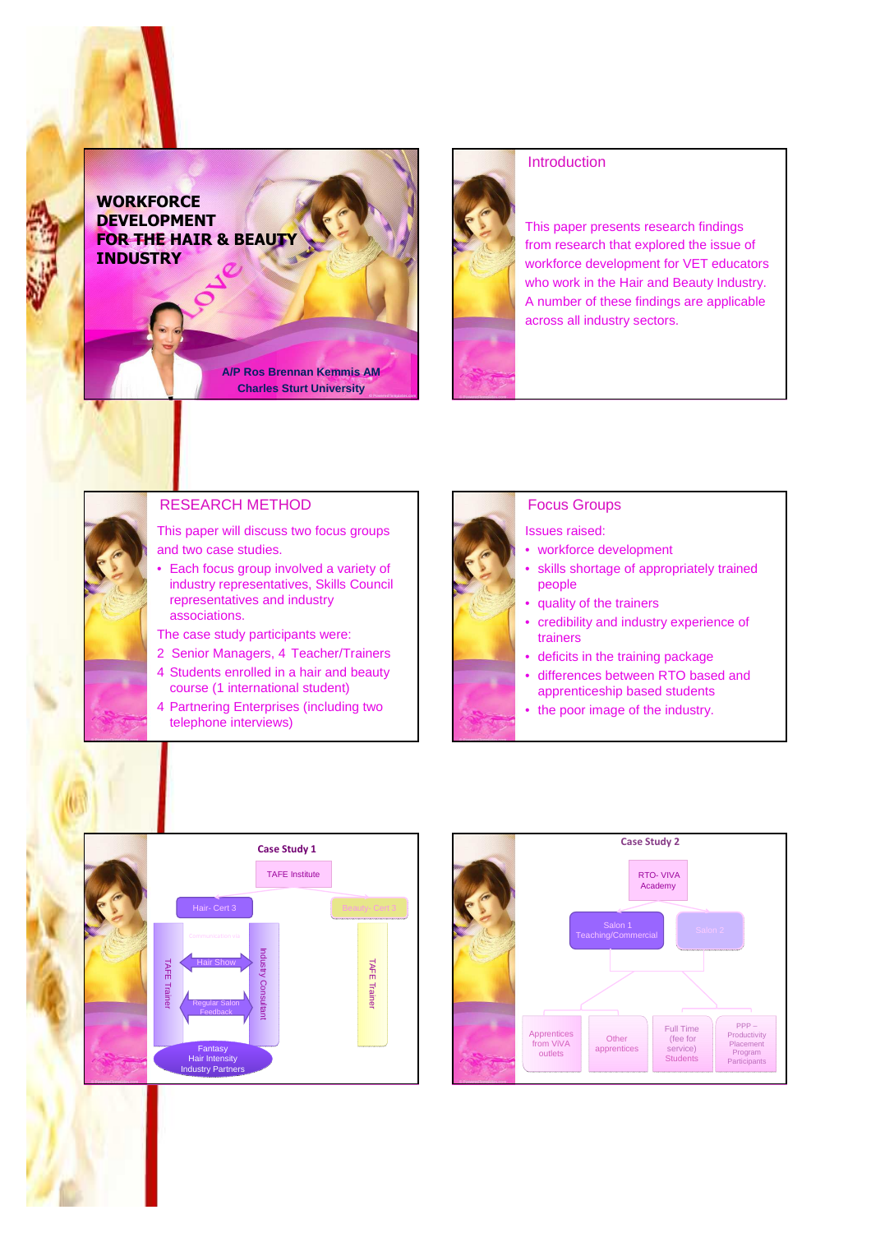**WORKFORCE** DEVELOPMENT FOR THE HAIR & BEAUTY **INDUSTRY** 



## **Introduction**

This paper presents research findings from research that explored the issue of workforce development for VET educators who work in the Hair and Beauty Industry. A number of these findings are applicable across all industry sectors.



# RESEARCH METHOD

This paper will discuss two focus groups and two case studies.

**A/P Ros Brennan Kemmis AM Charles Sturt University**

• Each focus group involved a variety of industry representatives, Skills Council representatives and industry associations.

The case study participants were:

- 2 Senior Managers, 4 Teacher/Trainers
- 4 Students enrolled in a hair and beauty course (1 international student)
- 4 Partnering Enterprises (including two telephone interviews)



### Focus Groups

Issues raised:

- workforce development
- skills shortage of appropriately trained people
- quality of the trainers
- credibility and industry experience of trainers
- deficits in the training package
- differences between RTO based and apprenticeship based students
- the poor image of the industry.